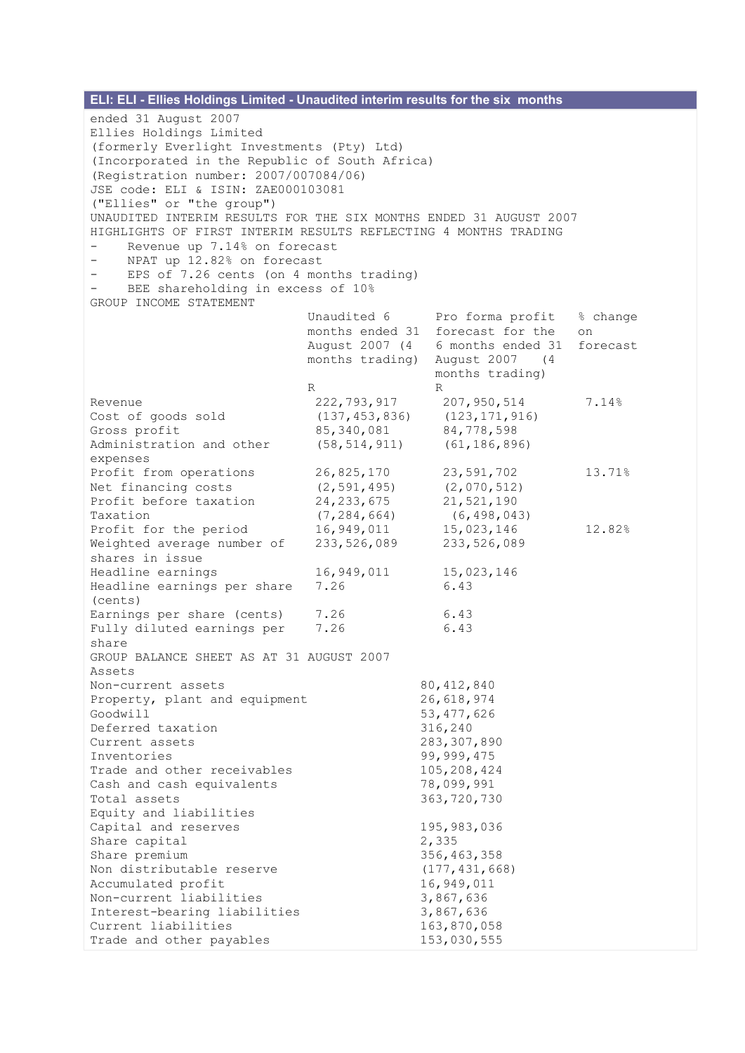| ELI: ELI - Ellies Holdings Limited - Unaudited interim results for the six months<br>ended 31 August 2007<br>Ellies Holdings Limited<br>(formerly Everlight Investments (Pty) Ltd)<br>(Incorporated in the Republic of South Africa)<br>(Registration number: 2007/007084/06)<br>JSE code: ELI & ISIN: ZAE000103081<br>("Ellies" or "the group")<br>UNAUDITED INTERIM RESULTS FOR THE SIX MONTHS ENDED 31 AUGUST 2007<br>HIGHLIGHTS OF FIRST INTERIM RESULTS REFLECTING 4 MONTHS TRADING<br>Revenue up 7.14% on forecast<br>NPAT up 12.82% on forecast<br>EPS of 7.26 cents (on 4 months trading)<br>BEE shareholding in excess of 10%<br>GROUP INCOME STATEMENT<br>Unaudited 6<br>Pro forma profit<br>% change<br>months ended 31 forecast for the<br>on |                                                                                                                                   |                                                                  |                                                                                         |          |
|-----------------------------------------------------------------------------------------------------------------------------------------------------------------------------------------------------------------------------------------------------------------------------------------------------------------------------------------------------------------------------------------------------------------------------------------------------------------------------------------------------------------------------------------------------------------------------------------------------------------------------------------------------------------------------------------------------------------------------------------------------------|-----------------------------------------------------------------------------------------------------------------------------------|------------------------------------------------------------------|-----------------------------------------------------------------------------------------|----------|
|                                                                                                                                                                                                                                                                                                                                                                                                                                                                                                                                                                                                                                                                                                                                                           |                                                                                                                                   | August 2007 (4<br>months trading)<br>R                           | 6 months ended 31<br>August 2007 (4)<br>months trading)<br>R                            | forecast |
| Revenue<br>Gross profit<br>expenses                                                                                                                                                                                                                                                                                                                                                                                                                                                                                                                                                                                                                                                                                                                       | Cost of goods sold<br>Administration and other                                                                                    | 222,793,917<br>(137, 453, 836)<br>85, 340, 081<br>(58, 514, 911) | 207, 950, 514<br>(123, 171, 916)<br>84,778,598<br>(61, 186, 896)                        | 7.14%    |
| Taxation                                                                                                                                                                                                                                                                                                                                                                                                                                                                                                                                                                                                                                                                                                                                                  | Profit from operations<br>Net financing costs<br>Profit before taxation                                                           | 26,825,170<br>(2, 591, 495)<br>24, 233, 675<br>(7, 284, 664)     | 23,591,702<br>(2,070,512)<br>21,521,190<br>(6, 498, 043)                                | 13.71%   |
|                                                                                                                                                                                                                                                                                                                                                                                                                                                                                                                                                                                                                                                                                                                                                           | Profit for the period<br>Weighted average number of<br>shares in issue                                                            | 16,949,011<br>233,526,089                                        | 15,023,146<br>233,526,089                                                               | 12.82%   |
| (cents)                                                                                                                                                                                                                                                                                                                                                                                                                                                                                                                                                                                                                                                                                                                                                   | Headline earnings<br>Headline earnings per share                                                                                  | 16,949,011<br>7.26                                               | 15,023,146<br>6.43                                                                      |          |
| share                                                                                                                                                                                                                                                                                                                                                                                                                                                                                                                                                                                                                                                                                                                                                     | Earnings per share (cents)<br>Fully diluted earnings per                                                                          | 7.26<br>7.26                                                     | 6.43<br>6.43                                                                            |          |
| Assets                                                                                                                                                                                                                                                                                                                                                                                                                                                                                                                                                                                                                                                                                                                                                    | GROUP BALANCE SHEET AS AT 31 AUGUST 2007<br>Non-current assets                                                                    |                                                                  | 80, 412, 840                                                                            |          |
| Goodwill                                                                                                                                                                                                                                                                                                                                                                                                                                                                                                                                                                                                                                                                                                                                                  | Property, plant and equipment<br>Deferred taxation                                                                                |                                                                  | 26,618,974<br>53, 477, 626<br>316,240                                                   |          |
| Inventories<br>Total assets                                                                                                                                                                                                                                                                                                                                                                                                                                                                                                                                                                                                                                                                                                                               | Current assets<br>Trade and other receivables<br>Cash and cash equivalents                                                        |                                                                  | 283, 307, 890<br>99, 999, 475<br>105,208,424<br>78,099,991<br>363,720,730               |          |
| Share capital                                                                                                                                                                                                                                                                                                                                                                                                                                                                                                                                                                                                                                                                                                                                             | Equity and liabilities<br>Capital and reserves                                                                                    |                                                                  | 195,983,036<br>2,335                                                                    |          |
| Share premium                                                                                                                                                                                                                                                                                                                                                                                                                                                                                                                                                                                                                                                                                                                                             | Non distributable reserve<br>Accumulated profit<br>Non-current liabilities<br>Interest-bearing liabilities<br>Current liabilities |                                                                  | 356, 463, 358<br>(177, 431, 668)<br>16,949,011<br>3,867,636<br>3,867,636<br>163,870,058 |          |
| Trade and other payables                                                                                                                                                                                                                                                                                                                                                                                                                                                                                                                                                                                                                                                                                                                                  |                                                                                                                                   |                                                                  | 153,030,555                                                                             |          |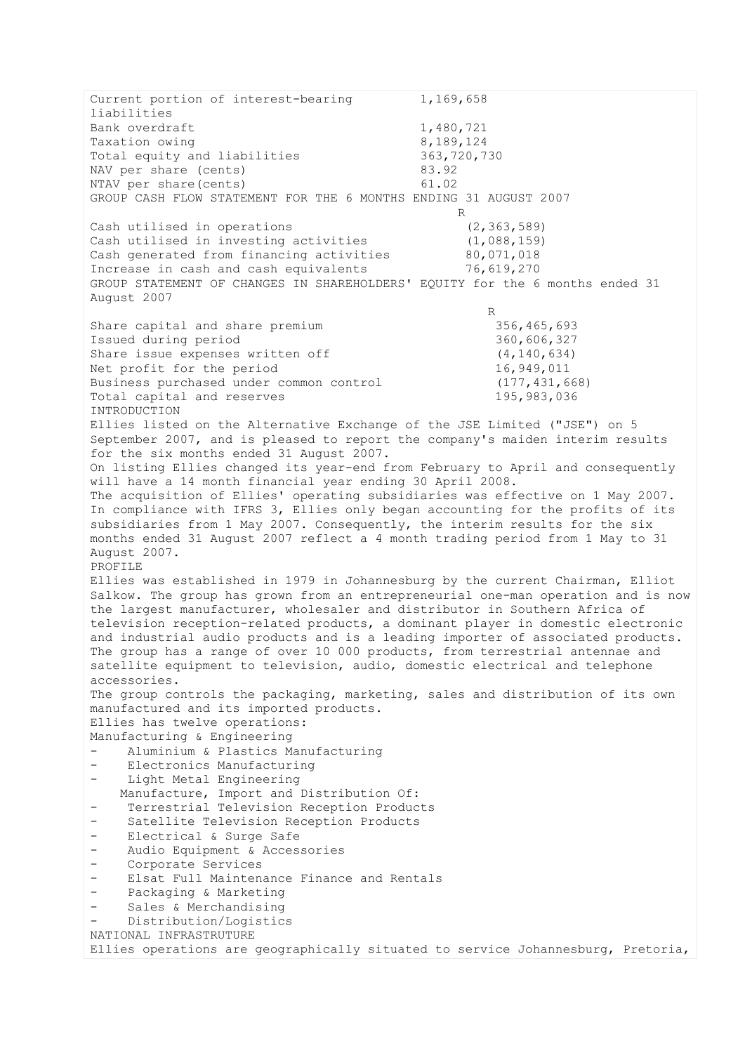Current portion of interest-bearing 1,169,658 liabilities Bank overdraft 1,480,721 Taxation owing 3,189,124 Total equity and liabilities 363,720,730 NAV per share (cents) 83.92 NTAV per share(cents) 61.02 GROUP CASH FLOW STATEMENT FOR THE 6 MONTHS ENDING 31 AUGUST 2007 R Cash utilised in operations (2,363,589) Cash utilised in investing activities (1,088,159) Cash generated from financing activities 80,071,018 Increase in cash and cash equivalents 76,619,270 GROUP STATEMENT OF CHANGES IN SHAREHOLDERS' EQUITY for the 6 months ended 31 August 2007 R Share capital and share premium 356,465,693 Issued during period 360,606,327 Share issue expenses written off (4,140,634) Net profit for the period 16,949,011 Business purchased under common control (177,431,668) Total capital and reserves 195,983,036 INTRODUCTION Ellies listed on the Alternative Exchange of the JSE Limited ("JSE") on 5 September 2007, and is pleased to report the company's maiden interim results for the six months ended 31 August 2007. On listing Ellies changed its year-end from February to April and consequently will have a 14 month financial year ending 30 April 2008. The acquisition of Ellies' operating subsidiaries was effective on 1 May 2007. In compliance with IFRS 3, Ellies only began accounting for the profits of its subsidiaries from 1 May 2007. Consequently, the interim results for the six months ended 31 August 2007 reflect a 4 month trading period from 1 May to 31 August 2007. PROFILE Ellies was established in 1979 in Johannesburg by the current Chairman, Elliot Salkow. The group has grown from an entrepreneurial one-man operation and is now the largest manufacturer, wholesaler and distributor in Southern Africa of television reception-related products, a dominant player in domestic electronic and industrial audio products and is a leading importer of associated products. The group has a range of over 10 000 products, from terrestrial antennae and satellite equipment to television, audio, domestic electrical and telephone accessories. The group controls the packaging, marketing, sales and distribution of its own manufactured and its imported products. Ellies has twelve operations: Manufacturing & Engineering - Aluminium & Plastics Manufacturing Electronics Manufacturing - Light Metal Engineering Manufacture, Import and Distribution Of: Terrestrial Television Reception Products Satellite Television Reception Products - Electrical & Surge Safe - Audio Equipment & Accessories - Corporate Services - Elsat Full Maintenance Finance and Rentals - Packaging & Marketing - Sales & Merchandising Distribution/Logistics NATIONAL INFRASTRUTURE Ellies operations are geographically situated to service Johannesburg, Pretoria,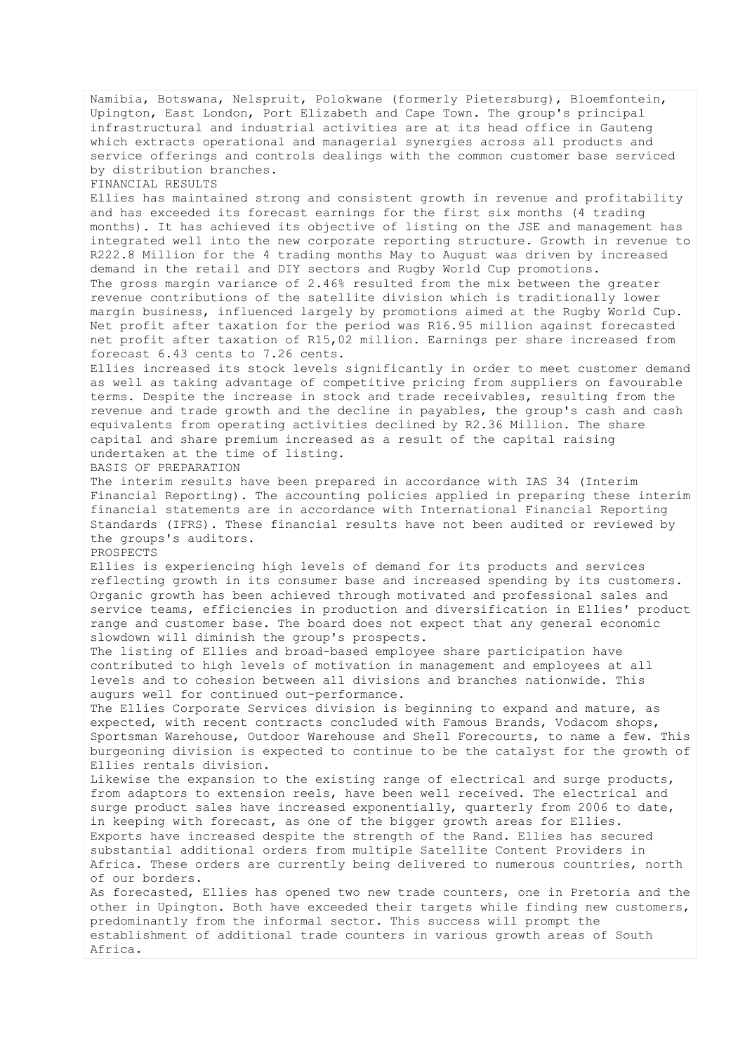Namibia, Botswana, Nelspruit, Polokwane (formerly Pietersburg), Bloemfontein, Upington, East London, Port Elizabeth and Cape Town. The group's principal infrastructural and industrial activities are at its head office in Gauteng which extracts operational and managerial synergies across all products and service offerings and controls dealings with the common customer base serviced by distribution branches.

FINANCIAL RESULTS

Ellies has maintained strong and consistent growth in revenue and profitability and has exceeded its forecast earnings for the first six months (4 trading months). It has achieved its objective of listing on the JSE and management has integrated well into the new corporate reporting structure. Growth in revenue to R222.8 Million for the 4 trading months May to August was driven by increased demand in the retail and DIY sectors and Rugby World Cup promotions. The gross margin variance of 2.46% resulted from the mix between the greater revenue contributions of the satellite division which is traditionally lower margin business, influenced largely by promotions aimed at the Rugby World Cup. Net profit after taxation for the period was R16.95 million against forecasted net profit after taxation of R15,02 million. Earnings per share increased from forecast 6.43 cents to 7.26 cents.

Ellies increased its stock levels significantly in order to meet customer demand as well as taking advantage of competitive pricing from suppliers on favourable terms. Despite the increase in stock and trade receivables, resulting from the revenue and trade growth and the decline in payables, the group's cash and cash equivalents from operating activities declined by R2.36 Million. The share capital and share premium increased as a result of the capital raising undertaken at the time of listing.

BASIS OF PREPARATION

The interim results have been prepared in accordance with IAS 34 (Interim Financial Reporting). The accounting policies applied in preparing these interim financial statements are in accordance with International Financial Reporting Standards (IFRS). These financial results have not been audited or reviewed by the groups's auditors.

PROSPECTS

Ellies is experiencing high levels of demand for its products and services reflecting growth in its consumer base and increased spending by its customers. Organic growth has been achieved through motivated and professional sales and service teams, efficiencies in production and diversification in Ellies' product range and customer base. The board does not expect that any general economic slowdown will diminish the group's prospects.

The listing of Ellies and broad-based employee share participation have contributed to high levels of motivation in management and employees at all levels and to cohesion between all divisions and branches nationwide. This augurs well for continued out-performance.

The Ellies Corporate Services division is beginning to expand and mature, as expected, with recent contracts concluded with Famous Brands, Vodacom shops, Sportsman Warehouse, Outdoor Warehouse and Shell Forecourts, to name a few. This burgeoning division is expected to continue to be the catalyst for the growth of Ellies rentals division.

Likewise the expansion to the existing range of electrical and surge products, from adaptors to extension reels, have been well received. The electrical and surge product sales have increased exponentially, quarterly from 2006 to date, in keeping with forecast, as one of the bigger growth areas for Ellies. Exports have increased despite the strength of the Rand. Ellies has secured substantial additional orders from multiple Satellite Content Providers in Africa. These orders are currently being delivered to numerous countries, north of our borders.

As forecasted, Ellies has opened two new trade counters, one in Pretoria and the other in Upington. Both have exceeded their targets while finding new customers, predominantly from the informal sector. This success will prompt the establishment of additional trade counters in various growth areas of South Africa.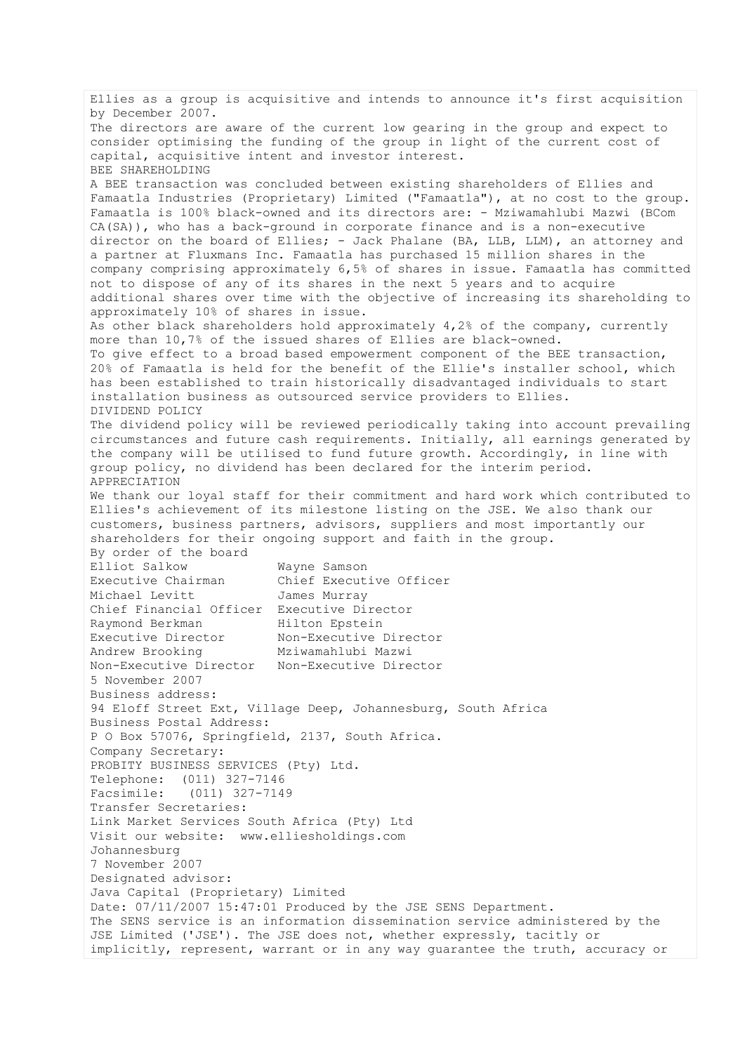Ellies as a group is acquisitive and intends to announce it's first acquisition by December 2007. The directors are aware of the current low gearing in the group and expect to consider optimising the funding of the group in light of the current cost of capital, acquisitive intent and investor interest. BEE SHAREHOLDING A BEE transaction was concluded between existing shareholders of Ellies and Famaatla Industries (Proprietary) Limited ("Famaatla"), at no cost to the group. Famaatla is 100% black-owned and its directors are: - Mziwamahlubi Mazwi (BCom CA(SA)), who has a back-ground in corporate finance and is a non-executive director on the board of Ellies; - Jack Phalane (BA, LLB, LLM), an attorney and a partner at Fluxmans Inc. Famaatla has purchased 15 million shares in the company comprising approximately 6,5% of shares in issue. Famaatla has committed not to dispose of any of its shares in the next 5 years and to acquire additional shares over time with the objective of increasing its shareholding to approximately 10% of shares in issue. As other black shareholders hold approximately 4,2% of the company, currently more than 10,7% of the issued shares of Ellies are black-owned. To give effect to a broad based empowerment component of the BEE transaction, 20% of Famaatla is held for the benefit of the Ellie's installer school, which has been established to train historically disadvantaged individuals to start installation business as outsourced service providers to Ellies. DIVIDEND POLICY The dividend policy will be reviewed periodically taking into account prevailing circumstances and future cash requirements. Initially, all earnings generated by the company will be utilised to fund future growth. Accordingly, in line with group policy, no dividend has been declared for the interim period. APPRECIATION We thank our loyal staff for their commitment and hard work which contributed to Ellies's achievement of its milestone listing on the JSE. We also thank our customers, business partners, advisors, suppliers and most importantly our shareholders for their ongoing support and faith in the group. By order of the board<br>Elliot Salkow Wayne Samson Executive Chairman Chief Executive Officer Michael Levitt James Murray Chief Financial Officer Executive Director<br>Raymond Berkman Hilton Epstein Raymond Berkman Executive Director Non-Executive Director Andrew Brooking Mziwamahlubi Mazwi Non-Executive Director Non-Executive Director 5 November 2007 Business address: 94 Eloff Street Ext, Village Deep, Johannesburg, South Africa Business Postal Address: P O Box 57076, Springfield, 2137, South Africa. Company Secretary: PROBITY BUSINESS SERVICES (Pty) Ltd. Telephone: (011) 327-7146 Facsimile: (011) 327-7149 Transfer Secretaries: Link Market Services South Africa (Pty) Ltd Visit our website: www.elliesholdings.com Johannesburg 7 November 2007 Designated advisor: Java Capital (Proprietary) Limited Date: 07/11/2007 15:47:01 Produced by the JSE SENS Department. The SENS service is an information dissemination service administered by the JSE Limited ('JSE'). The JSE does not, whether expressly, tacitly or implicitly, represent, warrant or in any way guarantee the truth, accuracy or